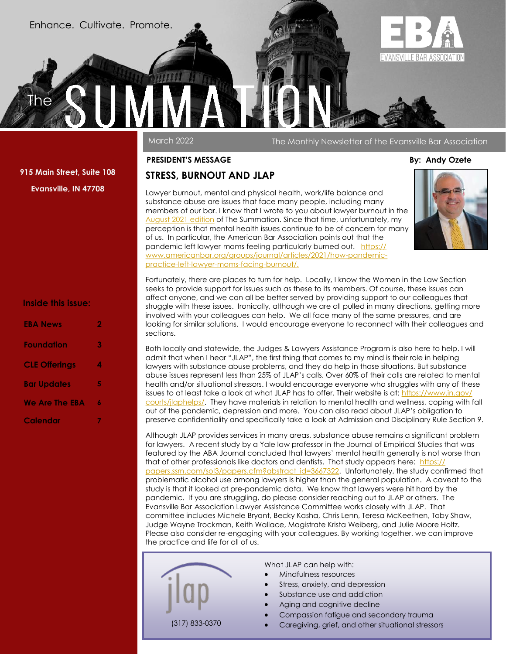Enhance. Cultivate. Promote.

**Summation** 

# **EVANSVILLE BAR ASSOCIATION**

March 2022 The Monthly Newsletter of the Evansville Bar Association

#### **PRESIDENT'S MESSAGE By: Andy Ozete**

### **STRESS, BURNOUT AND JLAP**

Lawyer burnout, mental and physical health, work/life balance and substance abuse are issues that face many people, including many members of our bar. I know that I wrote to you about lawyer burnout in the [August 2021 edition](https://evvbar.org/UserFiles/file/Summations/summation0821.pdf) of The Summation. Since that time, unfortunately, my perception is that mental health issues continue to be of concern for many of us. In particular, the American Bar Association points out that the pandemic left lawyer-moms feeling particularly burned out. [https://](https://www.americanbar.org/groups/journal/articles/2021/how-pandemic-practice-left-lawyer-moms-facing-burnout/) [www.americanbar.org/groups/journal/articles/2021/how-pandemic](https://www.americanbar.org/groups/journal/articles/2021/how-pandemic-practice-left-lawyer-moms-facing-burnout/)[practice-left-lawyer-moms-facing-burnout/.](https://www.americanbar.org/groups/journal/articles/2021/how-pandemic-practice-left-lawyer-moms-facing-burnout/)

## **Inside this issue:**

**915 Main Street, Suite 108 Evansville, IN 47708**

The

| <b>EBA News</b>       | 2 |
|-----------------------|---|
| Foundation            | 3 |
| <b>CLE Offerings</b>  | 4 |
| <b>Bar Updates</b>    | 5 |
| <b>We Are The EBA</b> | ٨ |
| Calendar              |   |

Fortunately, there are places to turn for help. Locally, I know the Women in the Law Section seeks to provide support for issues such as these to its members. Of course, these issues can affect anyone, and we can all be better served by providing support to our colleagues that struggle with these issues. Ironically, although we are all pulled in many directions, getting more involved with your colleagues can help. We all face many of the same pressures, and are looking for similar solutions. I would encourage everyone to reconnect with their colleagues and sections.

Both locally and statewide, the Judges & Lawyers Assistance Program is also here to help. I will admit that when I hear "JLAP", the first thing that comes to my mind is their role in helping lawyers with substance abuse problems, and they do help in those situations. But substance abuse issues represent less than 25% of JLAP's calls. Over 60% of their calls are related to mental health and/or situational stressors. I would encourage everyone who struggles with any of these issues to at least take a look at what JLAP has to offer. Their website is at: [https://www.in.gov/](https://www.in.gov/courts/jlaphelps/) [courts/jlaphelps/.](https://www.in.gov/courts/jlaphelps/) They have materials in relation to mental health and wellness, coping with fall out of the pandemic, depression and more. You can also read about JLAP's obligation to preserve confidentiality and specifically take a look at Admission and Disciplinary Rule Section 9.

Although JLAP provides services in many areas, substance abuse remains a significant problem for lawyers. A recent study by a Yale law professor in the Journal of Empirical Studies that was featured by the ABA Journal concluded that lawyers' mental health generally is not worse than that of other professionals like doctors and dentists. That study appears here: [https://](https://papers.ssrn.com/sol3/papers.cfm?abstract_id=3667322) [papers.ssrn.com/sol3/papers.cfm?abstract\\_id=3667322.](https://papers.ssrn.com/sol3/papers.cfm?abstract_id=3667322) Unfortunately, the study confirmed that problematic alcohol use among lawyers is higher than the general population. A caveat to the study is that it looked at pre-pandemic data. We know that lawyers were hit hard by the pandemic. If you are struggling, do please consider reaching out to JLAP or others. The Evansville Bar Association Lawyer Assistance Committee works closely with JLAP. That committee includes Michele Bryant, Becky Kasha, Chris Lenn, Teresa McKeethen, Toby Shaw, Judge Wayne Trockman, Keith Wallace, Magistrate Krista Weiberg, and Julie Moore Holtz. Please also consider re-engaging with your colleagues. By working together, we can improve the practice and life for all of us.



What JLAP can help with:

- Mindfulness resources
- Stress, anxiety, and depression
- Substance use and addiction
- Aging and cognitive decline
- Compassion fatigue and secondary trauma
- Caregiving, grief, and other situational stressors (317) 833-0370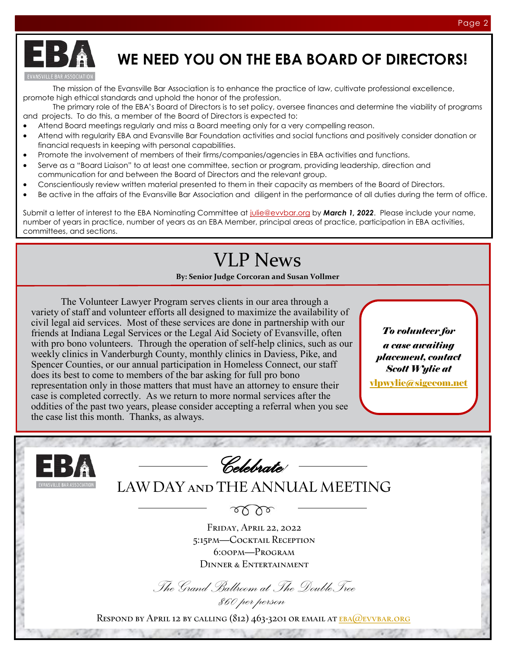

## **WE NEED YOU ON THE EBA BOARD OF DIRECTORS!**

The mission of the Evansville Bar Association is to enhance the practice of law, cultivate professional excellence, promote high ethical standards and uphold the honor of the profession.

The primary role of the EBA's Board of Directors is to set policy, oversee finances and determine the viability of programs and projects. To do this, a member of the Board of Directors is expected to:

- Attend Board meetings regularly and miss a Board meeting only for a very compelling reason.
- Attend with regularity EBA and Evansville Bar Foundation activities and social functions and positively consider donation or financial requests in keeping with personal capabilities.
- Promote the involvement of members of their firms/companies/agencies in EBA activities and functions.
- Serve as a "Board Liaison" to at least one committee, section or program, providing leadership, direction and communication for and between the Board of Directors and the relevant group.
- Conscientiously review written material presented to them in their capacity as members of the Board of Directors.
- Be active in the affairs of the Evansville Bar Association and diligent in the performance of all duties during the term of office.

Submit a letter of interest to the EBA Nominating Committee at [julie@evvbar.org](mailto:julie@evvbar.org?subject=Letter%20of%20Interest%20-%20EBA%20Board%20of%20Directors) by **March 1, 2022**. Please include your name, number of years in practice, number of years as an EBA Member, principal areas of practice, participation in EBA activities, committees, and sections.

## VLP News

**By: Senior Judge Corcoran and Susan Vollmer**

The Volunteer Lawyer Program serves clients in our area through a variety of staff and volunteer efforts all designed to maximize the availability of civil legal aid services. Most of these services are done in partnership with our friends at Indiana Legal Services or the Legal Aid Society of Evansville, often with pro bono volunteers. Through the operation of self-help clinics, such as our weekly clinics in Vanderburgh County, monthly clinics in Daviess, Pike, and Spencer Counties, or our annual participation in Homeless Connect, our staff does its best to come to members of the bar asking for full pro bono representation only in those matters that must have an attorney to ensure their case is completed correctly. As we return to more normal services after the oddities of the past two years, please consider accepting a referral when you see the case list this month. Thanks, as always.

*To volunteer for a case awaiting placement, contact Scott Wylie at*

[vlpwylie@sigecom.net](mailto:vlpwylie@sigecom.net)

| $\mathbf{E}$ $\mathbf{B}$<br>Celebrate                                           |
|----------------------------------------------------------------------------------|
| LAW DAY AND THE ANNUAL MEETING<br><b>EVANSVILLE BAR ASSOCIATION</b>              |
|                                                                                  |
| FRIDAY, APRIL 22, 2022<br>5:15PM-COCKTAIL RECEPTION                              |
| $6:OPM-PROGRAM$<br><b>DINNER &amp; ENTERTAINMENT</b>                             |
| The Grand Ballroom at The Double Tree                                            |
| \$60 per person                                                                  |
| RESPOND BY APRIL 12 BY CALLING (812) 463-3201 OR EMAIL AT <b>EBA</b> @EVVBAR.ORG |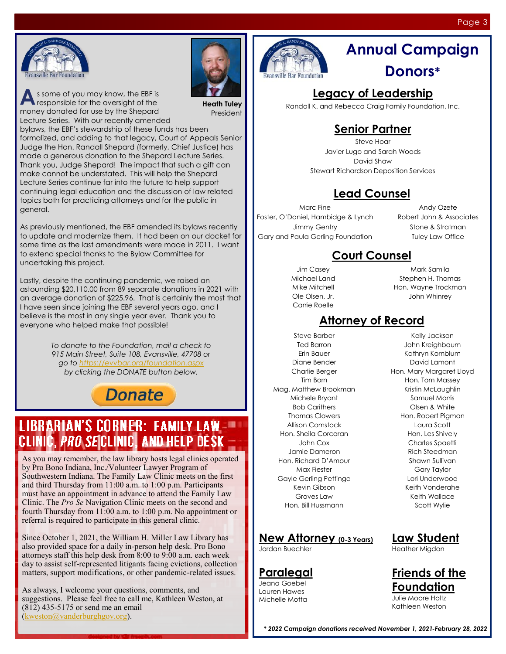



**A** s some of you may know, the EBF is responsible for the oversight of the responsible for the oversight of the money donated for use by the Shepard Lecture Series. With our recently amended

**Heath Tuley** President

bylaws, the EBF's stewardship of these funds has been formalized, and adding to that legacy, Court of Appeals Senior Judge the Hon. Randall Shepard (formerly, Chief Justice) has made a generous donation to the Shepard Lecture Series. Thank you, Judge Shepard! The impact that such a gift can make cannot be understated. This will help the Shepard Lecture Series continue far into the future to help support continuing legal education and the discussion of law related topics both for practicing attorneys and for the public in general.

As previously mentioned, the EBF amended its bylaws recently to update and modernize them. It had been on our docket for some time as the last amendments were made in 2011. I want to extend special thanks to the Bylaw Committee for undertaking this project.

Lastly, despite the continuing pandemic, we raised an astounding \$20,110.00 from 89 separate donations in 2021 with an average donation of \$225.96. That is certainly the most that I have seen since joining the EBF several years ago, and I believe is the most in any single year ever. Thank you to everyone who helped make that possible!

> *To donate to the Foundation, mail a check to 915 Main Street, Suite 108, Evansville, 47708 or go to<https://evvbar.org/foundation.aspx> by clicking the DONATE button below.*

## **Donate**

## **LIBRARIAN'S CORNER: FAMILY LAW-**CLINIC, PRO SECLINIC, AND HELP DESK

As you may remember, the law library hosts legal clinics operated by Pro Bono Indiana, Inc./Volunteer Lawyer Program of Southwestern Indiana. The Family Law Clinic meets on the first and third Thursday from 11:00 a.m. to 1:00 p.m. Participants must have an appointment in advance to attend the Family Law Clinic. The *Pro Se* Navigation Clinic meets on the second and fourth Thursday from 11:00 a.m. to 1:00 p.m. No appointment or referral is required to participate in this general clinic.

Since October 1, 2021, the William H. Miller Law Library has also provided space for a daily in-person help desk. Pro Bono attorneys staff this help desk from 8:00 to 9:00 a.m. each week day to assist self-represented litigants facing evictions, collection matters, support modifications, or other pandemic-related issues.

As always, I welcome your questions, comments, and suggestions. Please feel free to call me, Kathleen Weston, at (812) 435-5175 or send me an email ([kweston@vanderburghgov.org\)](mailto:kweston@vanderburghgov.org).



## **Annual Campaign Donors\***

## **Legacy of Leadership**

Randall K. and Rebecca Craig Family Foundation, Inc.

## **Senior Partner**

Steve Hoar Javier Lugo and Sarah Woods David Shaw Stewart Richardson Deposition Services

## **Lead Counsel**

Marc Fine Foster, O'Daniel, Hambidge & Lynch Jimmy Gentry Gary and Paula Gerling Foundation

Andy Ozete Robert John & Associates Stone & Stratman Tuley Law Office

### **Court Counsel**

Jim Casey Michael Land Mike Mitchell Ole Olsen, Jr. Carrie Roelle

Mark Samila Stephen H. Thomas Hon. Wayne Trockman John Whinrey

### **Attorney of Record**

Steve Barber Ted Barron Erin Bauer Diane Bender Charlie Berger Tim Born Mag. Matthew Brookman Michele Bryant Bob Carithers Thomas Clowers Allison Comstock Hon. Sheila Corcoran John Cox Jamie Dameron Hon. Richard D'Amour Max Fiester Gayle Gerling Pettinga Kevin Gibson Groves Law Hon. Bill Hussmann

### **New Attorney (0-3 Years)**

Jordan Buechler

### **Paralegal**

Jeana Goebel Lauren Hawes Michelle Motta

Kelly Jackson John Kreighbaum Kathryn Kornblum David Lamont Hon. Mary Margaret Lloyd Hon. Tom Massey Kristin McLaughlin Samuel Morris Olsen & White Hon. Robert Pigman Laura Scott Hon. Les Shively Charles Spaetti Rich Steedman Shawn Sullivan Gary Taylor Lori Underwood Keith Vonderahe Keith Wallace Scott Wylie

## **Law Student**

Heather Migdon

**Friends of the Foundation**

Julie Moore Holtz Kathleen Weston

*\* 2022 Campaign donations received November 1, 2021-February 28, 2022*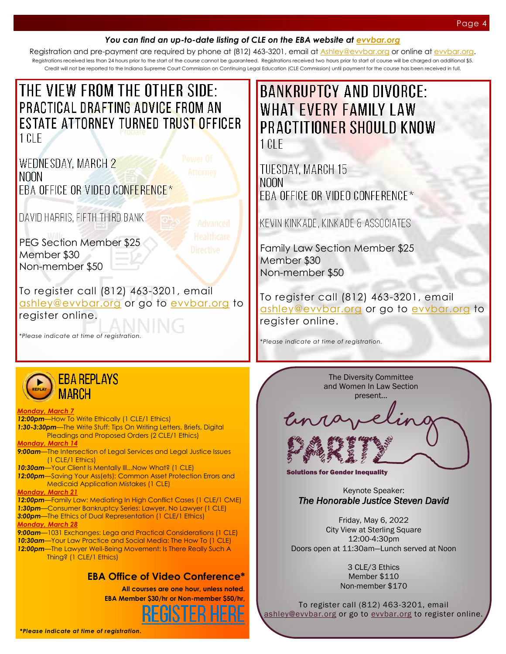### *You can find an up-to-date listing of CLE on the EBA website at [evvbar.org](https://evvbar.org/continuing-legal-education/upcoming-cle.aspx)*

Registration and pre-payment are required by phone at (812) 463-3201, email at <u>[Ashley@evvbar.org](mailto:ashley@evvbar.org)</u> or online at <u>evvbar.org</u>. Registrations received less than 24 hours prior to the start of the course cannot be guaranteed. Registrations received two hours prior to start of course will be charged an additional \$5. Credit will not be reported to the Indiana Supreme Court Commission on Continuing Legal Education (CLE Commission) until payment for the course has been received in full.

|        |  | THE VIEW FROM THE OTHER SIDE:        |  |
|--------|--|--------------------------------------|--|
|        |  | PRACTICAL DRAFTING ADVICE FROM AN    |  |
|        |  | ESTATE ATTORNEY TURNED TRUST OFFICER |  |
| 1 CLE. |  |                                      |  |

WEDNESDAY, MARCH 2 NOON **FBA OFFICE OR VIDEO CONFERENCE\*** 

DAVID HARRIS, FIFTH THIRD BANK

PEG Section Member \$25 Member \$30 Non-member \$50

To register call (812) 463-3201, email [ashley@](mailto:ashley@evvbar.org)[evvbar.org](mailto:eba@evvbar.org?subject=REGISTER:%20Lifecycle%20of%20an%20LLC) or go to [evvbar.org](https://evvbar.org/calendar/register/?eventno=9933) to register online.

*\*Please indicate at time of registration.*



#### *Monday, March 7*

12:00pm-How To Write Ethically (1 CLE/1 Ethics) *1:30-3:30pm*—The Write Stuff: Tips On Writing Letters, Briefs, Digital Pleadings and Proposed Orders (2 CLE/1 Ethics) *Monday, March 14 9:00am*—The Intersection of Legal Services and Legal Justice Issues (1 CLE/1 Ethics) *10:30am*—Your Client Is Mentally Ill...Now What? (1 CLE) *12:00pm*—Saving Your Ass(ets): Common Asset Protection Errors and Medicaid Application Mistakes (1 CLE) *Monday, March 21 12:00pm*—Family Law: Mediating In High Conflict Cases (1 CLE/1 CME) *1:30pm*—Consumer Bankruptcy Series: Lawyer, No Lawyer (1 CLE) *3:00pm*—The Ethics of Dual Representation (1 CLE/1 Ethics) *Monday, March 28 9:00am*—1031 Exchanges: Lega and Practical Considerations (1 CLE) *10:30am*—Your Law Practice and Social Media: The How To (1 CLE) *12:00pm*—The Lawyer Well-Being Movement: Is There Really Such A Thing? (1 CLE/1 Ethics)

### **EBA Office of Video Conference\***

**All courses are one hour, unless noted. EBA Member \$30/hr or Non-member \$50/hr,**



**BANKRUPTCY AND DIVORCE: WHAT EVERY FAMILY LAW PRACTITIONER SHOULD KNOW** 1 CLE

**TUESDAY, MARCH 15 NOON** EBA OFFICE OR VIDEO CONFERENCE\*

KEVIN KINKADE, KINKADE & ASSOCIATES

Family Law Section Member \$25 Member \$30 Non-member \$50

To register call (812) 463-3201, email [ashley@](mailto:ashley@evvbar.org)[evvbar.org](mailto:eba@evvbar.org?subject=REGISTER:%20Lifecycle%20of%20an%20LLC) or go to [evvbar.org](https://evvbar.org/calendar/register/?eventno=9970) to register online.

*\*Please indicate at time of registration.*

The Diversity Committee and Women In Law Section present...

**Unraveling** PARITY

Solutions for Gender Inequality

Keynote Speaker: *The Honorable Justice Steven David* 

Friday, May 6, 2022 City View at Sterling Square 12:00-4:30pm Doors open at 11:30am—Lunch served at Noon

> 3 CLE/3 Ethics Member \$110 Non-member \$170

To register call (812) 463-3201, email [ashley@](mailto:ashley@evvbar.org)[evvbar.org](https://evvbar.org/calendar/register/?eventno=9936) or go to evvbar.org to register online.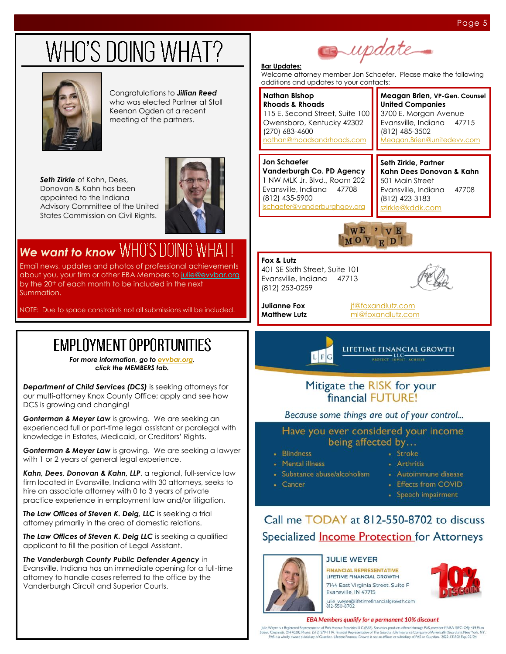# WHO'S DOING WHAT?



Congratulations to *Jillian Reed*  who was elected Partner at Stoll Keenon Ogden at a recent meeting of the partners.

*Seth Zirkle* of Kahn, Dees, Donovan & Kahn has been appointed to the Indiana Advisory Committee of the United States Commission on Civil Rights.



## *We want to know*

Email news, updates and photos of professional achievements about you, your firm or other EBA Members to [julie@evvbar.org](mailto:julie@evvbar.org) by the 20<sup>th</sup> of each month to be included in the next Summation.

NOTE: Due to space constraints not all submissions will be included.

## **EMPLOYMENT OPPORTUNITIES**

*For more information, go to [evvbar.org,](https://evvbar.org/members/employment-opportunities.aspx)  click the MEMBERS tab.*

**Department of Child Services (DCS)** is seeking attorneys for our multi-attorney Knox County Office; apply and see how DCS is growing and changing!

*Gonterman & Meyer Law* is growing. We are seeking an experienced full or part-time legal assistant or paralegal with knowledge in Estates, Medicaid, or Creditors' Rights.

*Gonterman & Meyer Law* is growing. We are seeking a lawyer with 1 or 2 years of general legal experience.

Kahn, Dees, Donovan & Kahn, LLP, a regional, full-service law firm located in Evansville, Indiana with 30 attorneys, seeks to hire an associate attorney with 0 to 3 years of private practice experience in employment law and/or litigation.

*The Law Offices of Steven K. Deig, LLC* is seeking a trial attorney primarily in the area of domestic relations.

*The Law Offices of Steven K. Deig LLC* is seeking a qualified applicant to fill the position of Legal Assistant.

*The Vanderburgh County Public Defender Agency* in Evansville, Indiana has an immediate opening for a full-time attorney to handle cases referred to the office by the Vanderburgh Circuit and Superior Courts.

# supdate

#### **Bar Updates:**

Welcome attorney member Jon Schaefer. Please make the following additions and updates to your contacts:

#### **Nathan Bishop Rhoads & Rhoads** 115 E. Second Street, Suite 100 Owensboro, Kentucky 42302 (270) 683-4600 [nathan@rhoadsandrhoads.com](mailto:nathan@rhoadsandrhoads.com)

#### **Jon Schaefer Vanderburgh Co. PD Agency** 1 NW MLK Jr. Blvd., Room 202 Evansville, Indiana 47708 (812) 435-5900 [jschaefer@vanderburghgov.org](mailto:jschaefer@vanderburghgov.org)

**United Companies** 3700 E. Morgan Avenue Evansville, Indiana 47715 (812) 485-3502 [Meagan.Brien@unitedevv.com](mailto:Meagan.Brien@unitedevv.com)

**Meagan Brien, VP-Gen. Counsel**

**Seth Zirkle, Partner Kahn Dees Donovan & Kahn** 501 Main Street Evansville, Indiana 47708 (812) 423-3183 [szirkle@kddk.com](mailto:szirkle@kddk.com)



#### **Fox & Lutz** 401 SE Sixth Street, Suite 101 Evansville, Indiana 47713 (812) 253-0259



**Julianne Fox** *[jf@foxandlutz.com](mailto:jf@foxandlutz.com)* **Matthew Lutz** [ml@foxandlutz.com](mailto:ml@foxandlutz.com)



### Mitigate the RISK for your financial FUTURE!

### Because some things are out of your control...

Have you ever considered your income being affected by...

• Blindness

• Cancer

- Mental illness
- · Substance abuse/alcoholism
	- Autoimmune disease

· Stroke

· Arthritis

- Effects from COVID
- Speech impairment

## Call me TODAY at 812-550-8702 to discuss Specialized **Income Protection** for Attorneys



### **JULIE WEYER**

**FINANCIAL REPRESENTATIVE** LIFETIME FINANCIAL GROWTH 7144 East Virginia Street, Suite F Evansville, IN 47715



julie\_weyer@lifetimefinancialgrowth.com<br>812-550-8702

#### EBA Members qualify for a permanent 10% discount

Veyer is a Registered Representative of Park Avenue Securities LLC (PAS). Securities products offered through PAS, member FINRA, SIPC. OSJ: 419 Pk<br>Cincinnas, OH 45202 Phone: (\$13) 579-1114. Financial Representative of The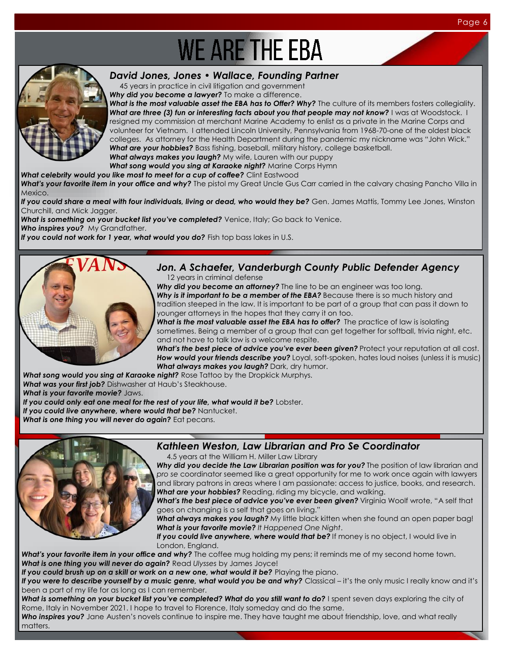# **WE ARE THE EBA**



### *David Jones, Jones • Wallace, Founding Partner*

45 years in practice in civil litigation and government

*Why did you become a lawyer?* To make a difference.

What is the most valuable asset the EBA has to Offer? Why? The culture of its members fosters collegiality. **What are three (3) fun or interesting facts about you that people may not know?** I was at Woodstock. I resigned my commission at merchant Marine Academy to enlist as a private in the Marine Corps and volunteer for Vietnam. I attended Lincoln University, Pennsylvania from 1968-70-one of the oldest black colleges. As attorney for the Health Department during the pandemic my nickname was "John Wick." *What are your hobbies?* Bass fishing, baseball, military history, college basketball. *What always makes you laugh?* My wife, Lauren with our puppy *What song would you sing at Karaoke night?* Marine Corps Hymn

*What celebrity would you like most to meet for a cup of coffee?* Clint Eastwood

What's your favorite item in your office and why? The pistol my Great Uncle Gus Carr carried in the calvary chasing Pancho Villa in Mexico.

If you could share a meal with four individuals, living or dead, who would they be? Gen. James Mattis, Tommy Lee Jones, Winston Churchill, and Mick Jagger.

What is something on your bucket list you've completed? Venice, Italy; Go back to Venice.

**Who inspires you?** My Grandfather.

If you could not work for 1 year, what would you do? Fish top bass lakes in U.S.



### *Jon. A Schaefer, Vanderburgh County Public Defender Agency*

12 years in criminal defense

*Why did you become an attorney?* The line to be an engineer was too long. Why is it important to be a member of the EBA? Because there is so much history and tradition steeped in the law. It is important to be part of a group that can pass it down to younger attorneys in the hopes that they carry it on too.

What is the most valuable asset the EBA has to offer? The practice of law is isolating sometimes. Being a member of a group that can get together for softball, trivia night, etc. and not have to talk law is a welcome respite.

What's the best piece of advice you've ever been given? Protect your reputation at all cost. *How would your friends describe you?* Loyal, soft-spoken, hates loud noises (unless it is music) *What always makes you laugh?* Dark, dry humor.

*What song would you sing at Karaoke night?* Rose Tattoo by the Dropkick Murphys.

*What was your first job?* Dishwasher at Haub's Steakhouse.

*What is your favorite movie?* Jaws.

If you could only eat one meal for the rest of your life, what would it be? Lobster.

If you could live anywhere, where would that be? Nantucket.

*What is one thing you will never do again?* Eat pecans.



### *Kathleen Weston, Law Librarian and Pro Se Coordinator*

4.5 years at the William H. Miller Law Library

Why did you decide the Law Librarian position was for you? The position of law librarian and *pro se* coordinator seemed like a great opportunity for me to work once again with lawyers and library patrons in areas where I am passionate: access to justice, books, and research. *What are your hobbies?* Reading, riding my bicycle, and walking.

What's the best piece of advice you've ever been given? Virginia Woolf wrote, "A self that goes on changing is a self that goes on living."

*What always makes you laugh?* My little black kitten when she found an open paper bag! *What is your favorite movie? It Happened One Night*.

If you could live anywhere, where would that be? If money is no object, I would live in London, England.

What's your favorite item in your office and why? The coffee mug holding my pens; it reminds me of my second home town. *What is one thing you will never do again?* Read *Ulysses* by James Joyce!

If you could brush up on a skill or work on a new one, what would it be? Playing the piano.

If you were to describe yourself by a music genre, what would you be and why? Classical – it's the only music I really know and it's been a part of my life for as long as I can remember.

What is something on your bucket list you've completed? What do you still want to do? I spent seven days exploring the city of Rome, Italy in November 2021. I hope to travel to Florence, Italy someday and do the same.

*Who inspires you?* Jane Austen's novels continue to inspire me. They have taught me about friendship, love, and what really matters.